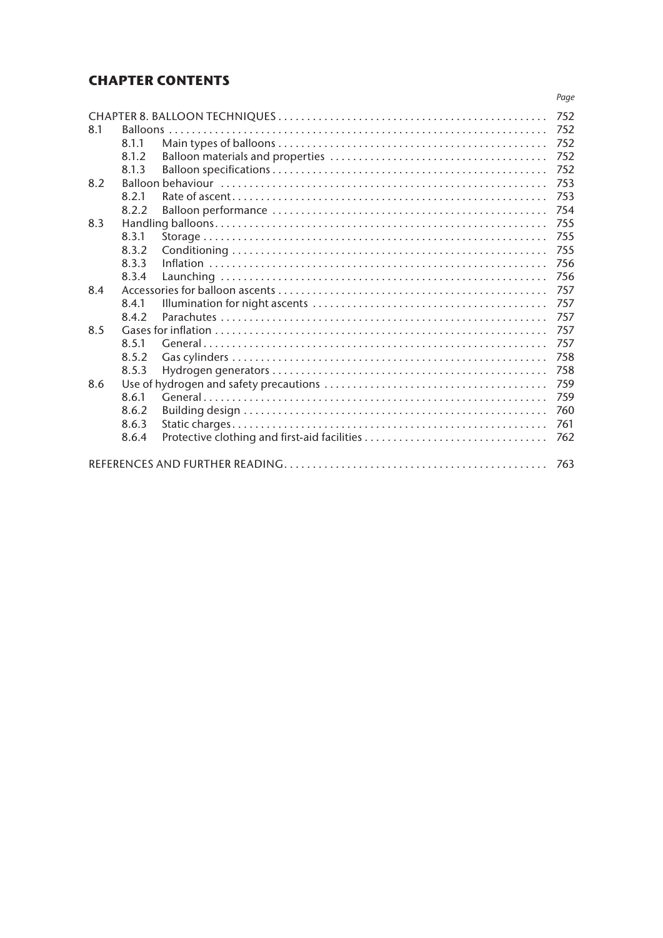# **CHAPTER CONTENTS**

| 8.1 |       |  |     |  |  |  |  |
|-----|-------|--|-----|--|--|--|--|
|     | 8.1.1 |  | 752 |  |  |  |  |
|     | 8.1.2 |  | 752 |  |  |  |  |
|     | 8.1.3 |  | 752 |  |  |  |  |
| 8.2 |       |  |     |  |  |  |  |
|     | 8.2.1 |  | 753 |  |  |  |  |
|     | 8.2.2 |  | 754 |  |  |  |  |
| 8.3 |       |  |     |  |  |  |  |
|     | 8.3.1 |  | 755 |  |  |  |  |
|     | 8.3.2 |  | 755 |  |  |  |  |
|     | 8.3.3 |  | 756 |  |  |  |  |
|     | 8.3.4 |  | 756 |  |  |  |  |
| 8.4 |       |  |     |  |  |  |  |
|     | 8.4.1 |  | 757 |  |  |  |  |
|     | 8.4.2 |  | 757 |  |  |  |  |
| 8.5 |       |  |     |  |  |  |  |
|     | 8.5.1 |  | 757 |  |  |  |  |
|     | 8.5.2 |  | 758 |  |  |  |  |
|     | 8.5.3 |  | 758 |  |  |  |  |
| 8.6 |       |  |     |  |  |  |  |
|     | 8.6.1 |  | 759 |  |  |  |  |
|     | 8.6.2 |  | 760 |  |  |  |  |
|     | 8.6.3 |  | 761 |  |  |  |  |
|     | 8.6.4 |  | 762 |  |  |  |  |
|     |       |  | 763 |  |  |  |  |
|     |       |  |     |  |  |  |  |

*Page*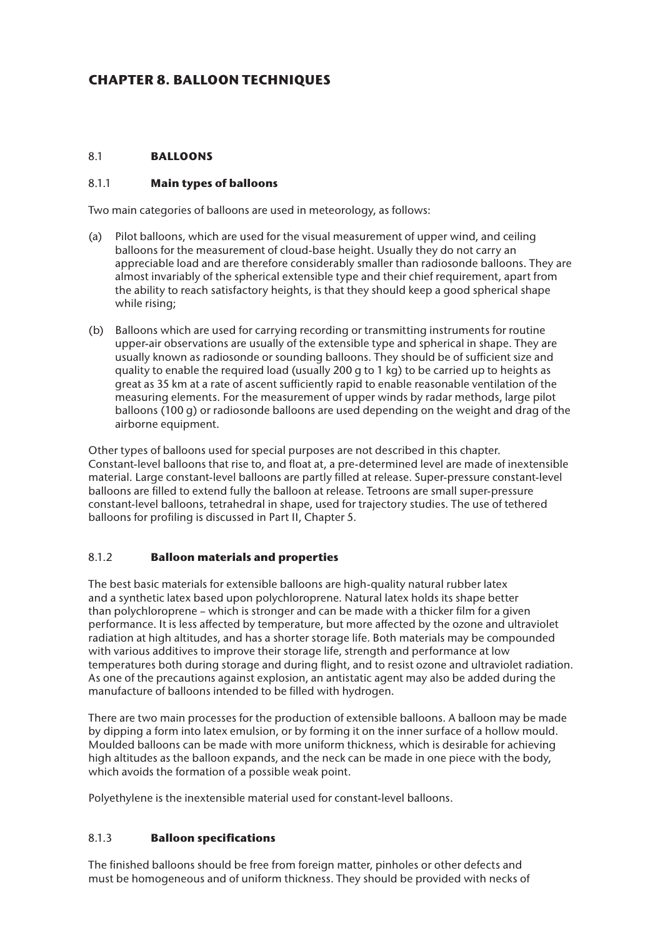# **CHAPTER 8. BALLOON TECHNIQUES**

### 8.1 **BALLOONS**

### 8.1.1 **Main types of balloons**

Two main categories of balloons are used in meteorology, as follows:

- (a) Pilot balloons, which are used for the visual measurement of upper wind, and ceiling balloons for the measurement of cloud-base height. Usually they do not carry an appreciable load and are therefore considerably smaller than radiosonde balloons. They are almost invariably of the spherical extensible type and their chief requirement, apart from the ability to reach satisfactory heights, is that they should keep a good spherical shape while rising;
- (b) Balloons which are used for carrying recording or transmitting instruments for routine upper-air observations are usually of the extensible type and spherical in shape. They are usually known as radiosonde or sounding balloons. They should be of sufficient size and quality to enable the required load (usually 200 g to 1 kg) to be carried up to heights as great as 35 km at a rate of ascent sufficiently rapid to enable reasonable ventilation of the measuring elements. For the measurement of upper winds by radar methods, large pilot balloons (100 g) or radiosonde balloons are used depending on the weight and drag of the airborne equipment.

Other types of balloons used for special purposes are not described in this chapter. Constant-level balloons that rise to, and float at, a pre-determined level are made of inextensible material. Large constant-level balloons are partly filled at release. Super-pressure constant-level balloons are filled to extend fully the balloon at release. Tetroons are small super-pressure constant-level balloons, tetrahedral in shape, used for trajectory studies. The use of tethered balloons for profiling is discussed in Part II, Chapter 5.

## 8.1.2 **Balloon materials and properties**

The best basic materials for extensible balloons are high-quality natural rubber latex and a synthetic latex based upon polychloroprene. Natural latex holds its shape better than polychloroprene – which is stronger and can be made with a thicker film for a given performance. It is less affected by temperature, but more affected by the ozone and ultraviolet radiation at high altitudes, and has a shorter storage life. Both materials may be compounded with various additives to improve their storage life, strength and performance at low temperatures both during storage and during flight, and to resist ozone and ultraviolet radiation. As one of the precautions against explosion, an antistatic agent may also be added during the manufacture of balloons intended to be filled with hydrogen.

There are two main processes for the production of extensible balloons. A balloon may be made by dipping a form into latex emulsion, or by forming it on the inner surface of a hollow mould. Moulded balloons can be made with more uniform thickness, which is desirable for achieving high altitudes as the balloon expands, and the neck can be made in one piece with the body, which avoids the formation of a possible weak point.

Polyethylene is the inextensible material used for constant-level balloons.

### 8.1.3 **Balloon specifications**

The finished balloons should be free from foreign matter, pinholes or other defects and must be homogeneous and of uniform thickness. They should be provided with necks of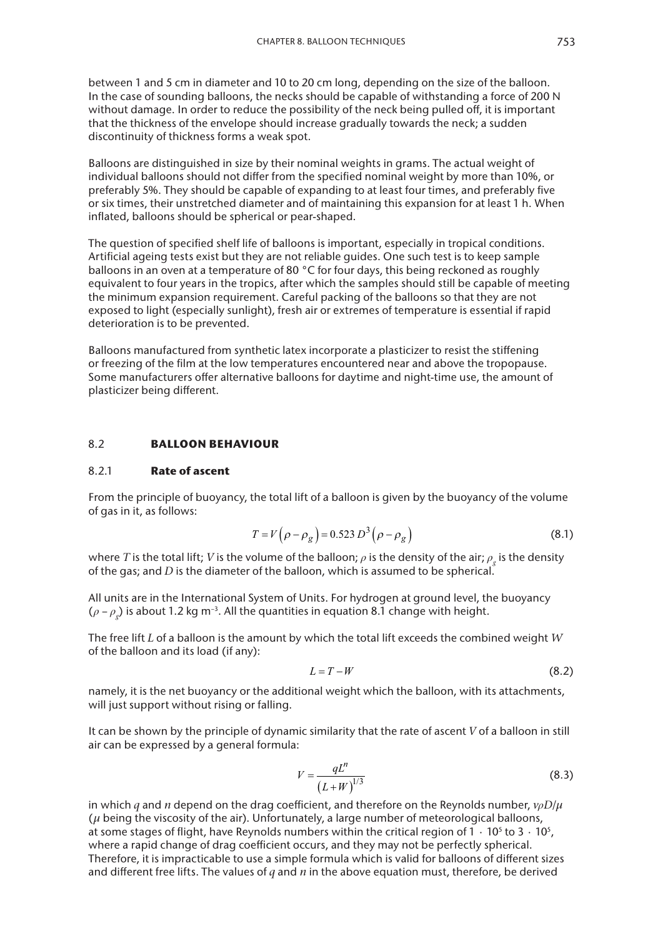between 1 and 5 cm in diameter and 10 to 20 cm long, depending on the size of the balloon. In the case of sounding balloons, the necks should be capable of withstanding a force of 200 N without damage. In order to reduce the possibility of the neck being pulled off, it is important that the thickness of the envelope should increase gradually towards the neck; a sudden discontinuity of thickness forms a weak spot.

Balloons are distinguished in size by their nominal weights in grams. The actual weight of individual balloons should not differ from the specified nominal weight by more than 10%, or preferably 5%. They should be capable of expanding to at least four times, and preferably five or six times, their unstretched diameter and of maintaining this expansion for at least 1 h. When inflated, balloons should be spherical or pear-shaped.

The question of specified shelf life of balloons is important, especially in tropical conditions. Artificial ageing tests exist but they are not reliable guides. One such test is to keep sample balloons in an oven at a temperature of 80  $^{\circ}$ C for four days, this being reckoned as roughly equivalent to four years in the tropics, after which the samples should still be capable of meeting the minimum expansion requirement. Careful packing of the balloons so that they are not exposed to light (especially sunlight), fresh air or extremes of temperature is essential if rapid deterioration is to be prevented.

Balloons manufactured from synthetic latex incorporate a plasticizer to resist the stiffening or freezing of the film at the low temperatures encountered near and above the tropopause. Some manufacturers offer alternative balloons for daytime and night-time use, the amount of plasticizer being different.

#### 8.2 **BALLOON BEHAVIOUR**

#### 8.2.1 **Rate of ascent**

From the principle of buoyancy, the total lift of a balloon is given by the buoyancy of the volume of gas in it, as follows:

$$
T = V(\rho - \rho_g) = 0.523 D^3(\rho - \rho_g)
$$
\n(8.1)

where  $T$  is the total lift;  $V$  is the volume of the balloon;  $\rho$  is the density of the air;  $\rho_{_{\cal S}}$  is the density of the gas; and *D* is the diameter of the balloon, which is assumed to be spherical.

All units are in the International System of Units. For hydrogen at ground level, the buoyancy  $(\rho - \rho_{s})$  is about 1.2 kg m<sup>-3</sup>. All the quantities in equation 8.1 change with height.

The free lift *L* of a balloon is the amount by which the total lift exceeds the combined weight *W* of the balloon and its load (if any):

$$
L = T - W \tag{8.2}
$$

namely, it is the net buoyancy or the additional weight which the balloon, with its attachments, will just support without rising or falling.

It can be shown by the principle of dynamic similarity that the rate of ascent *V* of a balloon in still air can be expressed by a general formula:

$$
V = \frac{qL^n}{(L+W)^{1/3}}
$$
(8.3)

in which *q* and *n* depend on the drag coefficient, and therefore on the Reynolds number, *vρD*/*µ* (*µ* being the viscosity of the air). Unfortunately, a large number of meteorological balloons, at some stages of flight, have Reynolds numbers within the critical region of  $1\cdot10^5$  to  $3\cdot10^5$ , where a rapid change of drag coefficient occurs, and they may not be perfectly spherical. Therefore, it is impracticable to use a simple formula which is valid for balloons of different sizes and different free lifts. The values of *q* and *n* in the above equation must, therefore, be derived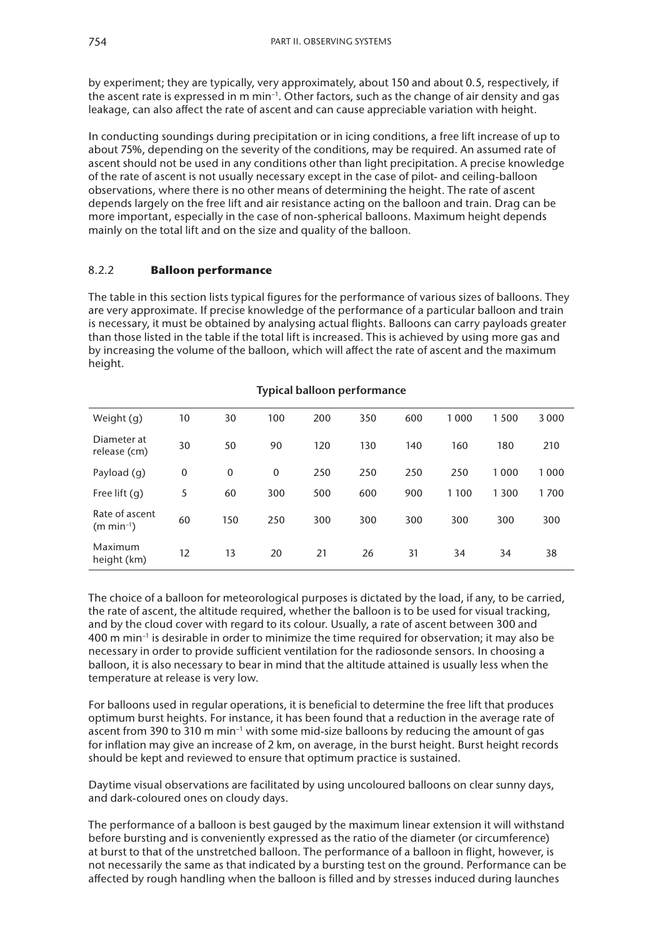by experiment; they are typically, very approximately, about 150 and about 0.5, respectively, if the ascent rate is expressed in m min–1. Other factors, such as the change of air density and gas leakage, can also affect the rate of ascent and can cause appreciable variation with height.

In conducting soundings during precipitation or in icing conditions, a free lift increase of up to about 75%, depending on the severity of the conditions, may be required. An assumed rate of ascent should not be used in any conditions other than light precipitation. A precise knowledge of the rate of ascent is not usually necessary except in the case of pilot- and ceiling-balloon observations, where there is no other means of determining the height. The rate of ascent depends largely on the free lift and air resistance acting on the balloon and train. Drag can be more important, especially in the case of non-spherical balloons. Maximum height depends mainly on the total lift and on the size and quality of the balloon.

## 8.2.2 **Balloon performance**

The table in this section lists typical figures for the performance of various sizes of balloons. They are very approximate. If precise knowledge of the performance of a particular balloon and train is necessary, it must be obtained by analysing actual flights. Balloons can carry payloads greater than those listed in the table if the total lift is increased. This is achieved by using more gas and by increasing the volume of the balloon, which will affect the rate of ascent and the maximum height.

|                               |             |              | . .         |     |     |     |         |         |      |
|-------------------------------|-------------|--------------|-------------|-----|-----|-----|---------|---------|------|
| Weight (g)                    | 10          | 30           | 100         | 200 | 350 | 600 | 1 0 0 0 | 1 500   | 3000 |
| Diameter at<br>release (cm)   | 30          | 50           | 90          | 120 | 130 | 140 | 160     | 180     | 210  |
| Payload (g)                   | $\mathbf 0$ | $\mathbf{0}$ | $\mathbf 0$ | 250 | 250 | 250 | 250     | 1000    | 1000 |
| Free lift (g)                 | 5           | 60           | 300         | 500 | 600 | 900 | 1 100   | 1 3 0 0 | 1700 |
| Rate of ascent<br>$(m min-1)$ | 60          | 150          | 250         | 300 | 300 | 300 | 300     | 300     | 300  |
| Maximum<br>height (km)        | 12          | 13           | 20          | 21  | 26  | 31  | 34      | 34      | 38   |

### **Typical balloon performance**

The choice of a balloon for meteorological purposes is dictated by the load, if any, to be carried, the rate of ascent, the altitude required, whether the balloon is to be used for visual tracking, and by the cloud cover with regard to its colour. Usually, a rate of ascent between 300 and 400 m min–1 is desirable in order to minimize the time required for observation; it may also be necessary in order to provide sufficient ventilation for the radiosonde sensors. In choosing a balloon, it is also necessary to bear in mind that the altitude attained is usually less when the temperature at release is very low.

For balloons used in regular operations, it is beneficial to determine the free lift that produces optimum burst heights. For instance, it has been found that a reduction in the average rate of ascent from 390 to 310 m min<sup>-1</sup> with some mid-size balloons by reducing the amount of gas for inflation may give an increase of 2 km, on average, in the burst height. Burst height records should be kept and reviewed to ensure that optimum practice is sustained.

Daytime visual observations are facilitated by using uncoloured balloons on clear sunny days, and dark-coloured ones on cloudy days.

The performance of a balloon is best gauged by the maximum linear extension it will withstand before bursting and is conveniently expressed as the ratio of the diameter (or circumference) at burst to that of the unstretched balloon. The performance of a balloon in flight, however, is not necessarily the same as that indicated by a bursting test on the ground. Performance can be affected by rough handling when the balloon is filled and by stresses induced during launches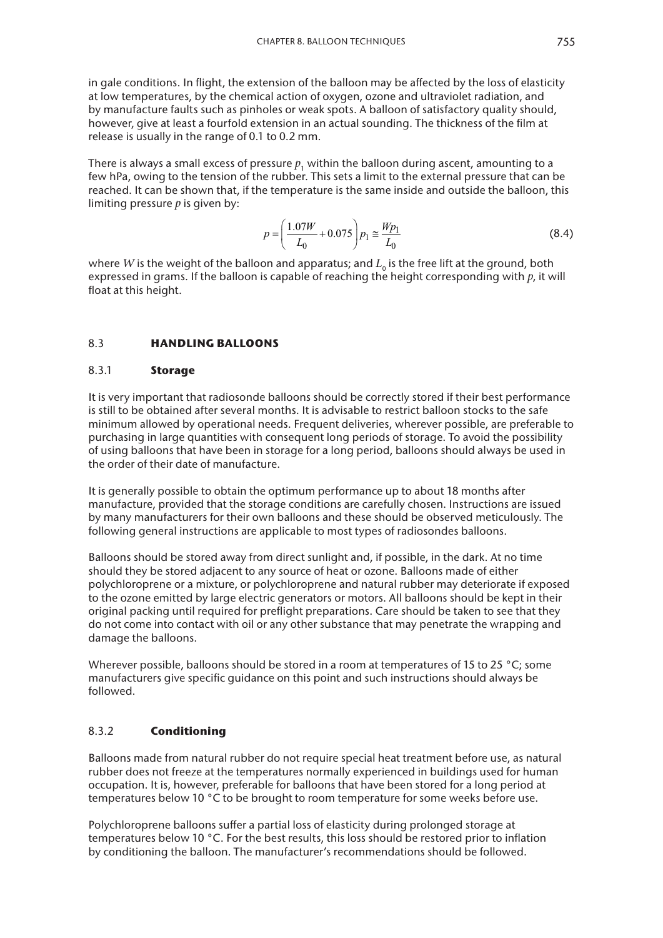in gale conditions. In flight, the extension of the balloon may be affected by the loss of elasticity at low temperatures, by the chemical action of oxygen, ozone and ultraviolet radiation, and by manufacture faults such as pinholes or weak spots. A balloon of satisfactory quality should, however, give at least a fourfold extension in an actual sounding. The thickness of the film at release is usually in the range of 0.1 to 0.2 mm.

There is always a small excess of pressure  $p_{_1}$  within the balloon during ascent, amounting to a few hPa, owing to the tension of the rubber. This sets a limit to the external pressure that can be reached. It can be shown that, if the temperature is the same inside and outside the balloon, this limiting pressure *p* is given by:

$$
p = \left(\frac{1.07W}{L_0} + 0.075\right) p_1 \approx \frac{W p_1}{L_0}
$$
\n(8.4)

where  $W$  is the weight of the balloon and apparatus; and  $L_{_0}$  is the free lift at the ground, both expressed in grams. If the balloon is capable of reaching the height corresponding with *p*, it will float at this height.

### 8.3 **HANDLING BALLOONS**

#### 8.3.1 **Storage**

It is very important that radiosonde balloons should be correctly stored if their best performance is still to be obtained after several months. It is advisable to restrict balloon stocks to the safe minimum allowed by operational needs. Frequent deliveries, wherever possible, are preferable to purchasing in large quantities with consequent long periods of storage. To avoid the possibility of using balloons that have been in storage for a long period, balloons should always be used in the order of their date of manufacture.

It is generally possible to obtain the optimum performance up to about 18 months after manufacture, provided that the storage conditions are carefully chosen. Instructions are issued by many manufacturers for their own balloons and these should be observed meticulously. The following general instructions are applicable to most types of radiosondes balloons.

Balloons should be stored away from direct sunlight and, if possible, in the dark. At no time should they be stored adjacent to any source of heat or ozone. Balloons made of either polychloroprene or a mixture, or polychloroprene and natural rubber may deteriorate if exposed to the ozone emitted by large electric generators or motors. All balloons should be kept in their original packing until required for preflight preparations. Care should be taken to see that they do not come into contact with oil or any other substance that may penetrate the wrapping and damage the balloons.

Wherever possible, balloons should be stored in a room at temperatures of 15 to 25 °C; some manufacturers give specific guidance on this point and such instructions should always be followed.

#### 8.3.2 **Conditioning**

Balloons made from natural rubber do not require special heat treatment before use, as natural rubber does not freeze at the temperatures normally experienced in buildings used for human occupation. It is, however, preferable for balloons that have been stored for a long period at temperatures below 10 °C to be brought to room temperature for some weeks before use.

Polychloroprene balloons suffer a partial loss of elasticity during prolonged storage at temperatures below 10 °C. For the best results, this loss should be restored prior to inflation by conditioning the balloon. The manufacturer's recommendations should be followed.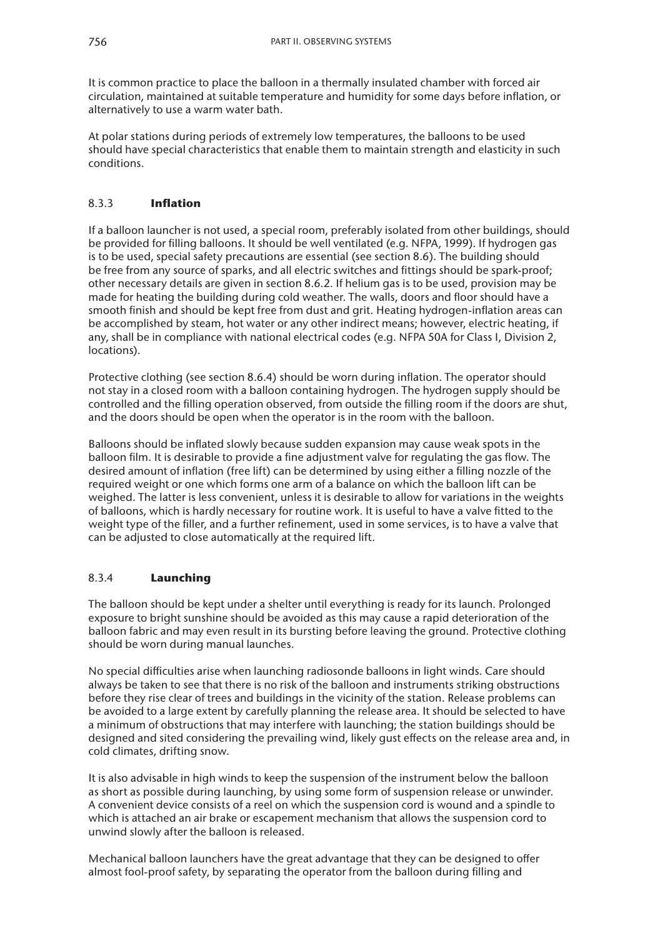It is common practice to place the balloon in a thermally insulated chamber with forced air circulation, maintained at suitable temperature and humidity for some days before inflation, or alternatively to use a warm water bath.

At polar stations during periods of extremely low temperatures, the balloons to be used should have special characteristics that enable them to maintain strength and elasticity in such conditions.

## 8.3.3 **Inflation**

If a balloon launcher is not used, a special room, preferably isolated from other buildings, should be provided for filling balloons. It should be well ventilated (e.g. NFPA, 1999). If hydrogen gas is to be used, special safety precautions are essential (see section 8.6). The building should be free from any source of sparks, and all electric switches and fittings should be spark-proof; other necessary details are given in section 8.6.2. If helium gas is to be used, provision may be made for heating the building during cold weather. The walls, doors and floor should have a smooth finish and should be kept free from dust and grit. Heating hydrogen-inflation areas can be accomplished by steam, hot water or any other indirect means; however, electric heating, if any, shall be in compliance with national electrical codes (e.g. NFPA 50A for Class I, Division 2, locations).

Protective clothing (see section 8.6.4) should be worn during inflation. The operator should not stay in a closed room with a balloon containing hydrogen. The hydrogen supply should be controlled and the filling operation observed, from outside the filling room if the doors are shut, and the doors should be open when the operator is in the room with the balloon.

Balloons should be inflated slowly because sudden expansion may cause weak spots in the balloon film. It is desirable to provide a fine adjustment valve for regulating the gas flow. The desired amount of inflation (free lift) can be determined by using either a filling nozzle of the required weight or one which forms one arm of a balance on which the balloon lift can be weighed. The latter is less convenient, unless it is desirable to allow for variations in the weights of balloons, which is hardly necessary for routine work. It is useful to have a valve fitted to the weight type of the filler, and a further refinement, used in some services, is to have a valve that can be adjusted to close automatically at the required lift.

## 8.3.4 **Launching**

The balloon should be kept under a shelter until everything is ready for its launch. Prolonged exposure to bright sunshine should be avoided as this may cause a rapid deterioration of the balloon fabric and may even result in its bursting before leaving the ground. Protective clothing should be worn during manual launches.

No special difficulties arise when launching radiosonde balloons in light winds. Care should always be taken to see that there is no risk of the balloon and instruments striking obstructions before they rise clear of trees and buildings in the vicinity of the station. Release problems can be avoided to a large extent by carefully planning the release area. It should be selected to have a minimum of obstructions that may interfere with launching; the station buildings should be designed and sited considering the prevailing wind, likely gust effects on the release area and, in cold climates, drifting snow.

It is also advisable in high winds to keep the suspension of the instrument below the balloon as short as possible during launching, by using some form of suspension release or unwinder. A convenient device consists of a reel on which the suspension cord is wound and a spindle to which is attached an air brake or escapement mechanism that allows the suspension cord to unwind slowly after the balloon is released.

Mechanical balloon launchers have the great advantage that they can be designed to offer almost fool-proof safety, by separating the operator from the balloon during filling and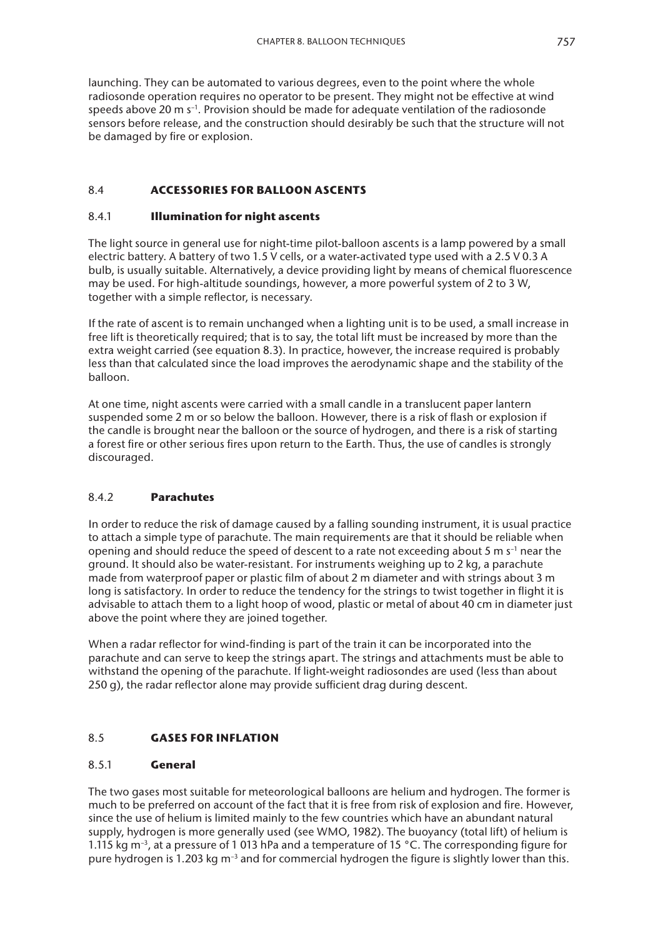launching. They can be automated to various degrees, even to the point where the whole radiosonde operation requires no operator to be present. They might not be effective at wind speeds above 20 m  $s^{-1}$ . Provision should be made for adequate ventilation of the radiosonde sensors before release, and the construction should desirably be such that the structure will not be damaged by fire or explosion.

## 8.4 **ACCESSORIES FOR BALLOON ASCENTS**

### 8.4.1 **Illumination for night ascents**

The light source in general use for night-time pilot-balloon ascents is a lamp powered by a small electric battery. A battery of two 1.5 V cells, or a water-activated type used with a 2.5 V 0.3 A bulb, is usually suitable. Alternatively, a device providing light by means of chemical fluorescence may be used. For high-altitude soundings, however, a more powerful system of 2 to 3 W, together with a simple reflector, is necessary.

If the rate of ascent is to remain unchanged when a lighting unit is to be used, a small increase in free lift is theoretically required; that is to say, the total lift must be increased by more than the extra weight carried (see equation 8.3). In practice, however, the increase required is probably less than that calculated since the load improves the aerodynamic shape and the stability of the balloon.

At one time, night ascents were carried with a small candle in a translucent paper lantern suspended some 2 m or so below the balloon. However, there is a risk of flash or explosion if the candle is brought near the balloon or the source of hydrogen, and there is a risk of starting a forest fire or other serious fires upon return to the Earth. Thus, the use of candles is strongly discouraged.

## 8.4.2 **Parachutes**

In order to reduce the risk of damage caused by a falling sounding instrument, it is usual practice to attach a simple type of parachute. The main requirements are that it should be reliable when opening and should reduce the speed of descent to a rate not exceeding about 5 m  $s^{-1}$  near the ground. It should also be water-resistant. For instruments weighing up to 2 kg, a parachute made from waterproof paper or plastic film of about 2 m diameter and with strings about 3 m long is satisfactory. In order to reduce the tendency for the strings to twist together in flight it is advisable to attach them to a light hoop of wood, plastic or metal of about 40 cm in diameter just above the point where they are joined together.

When a radar reflector for wind-finding is part of the train it can be incorporated into the parachute and can serve to keep the strings apart. The strings and attachments must be able to withstand the opening of the parachute. If light-weight radiosondes are used (less than about 250 g), the radar reflector alone may provide sufficient drag during descent.

## 8.5 **GASES FOR INFLATION**

## 8.5.1 **General**

The two gases most suitable for meteorological balloons are helium and hydrogen. The former is much to be preferred on account of the fact that it is free from risk of explosion and fire. However, since the use of helium is limited mainly to the few countries which have an abundant natural supply, hydrogen is more generally used (see WMO, 1982). The buoyancy (total lift) of helium is 1.115 kg m–3, at a pressure of 1 013 hPa and a temperature of 15 °C. The corresponding figure for pure hydrogen is 1.203 kg m<sup>-3</sup> and for commercial hydrogen the figure is slightly lower than this.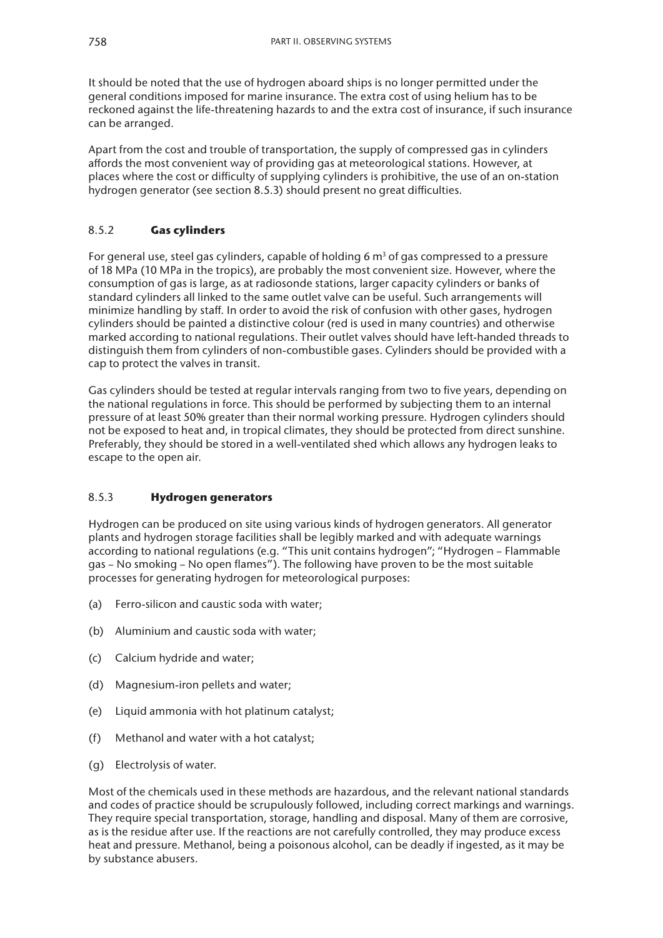It should be noted that the use of hydrogen aboard ships is no longer permitted under the general conditions imposed for marine insurance. The extra cost of using helium has to be reckoned against the life-threatening hazards to and the extra cost of insurance, if such insurance can be arranged.

Apart from the cost and trouble of transportation, the supply of compressed gas in cylinders affords the most convenient way of providing gas at meteorological stations. However, at places where the cost or difficulty of supplying cylinders is prohibitive, the use of an on-station hydrogen generator (see section 8.5.3) should present no great difficulties.

## 8.5.2 **Gas cylinders**

For general use, steel gas cylinders, capable of holding 6  $m<sup>3</sup>$  of gas compressed to a pressure of 18 MPa (10 MPa in the tropics), are probably the most convenient size. However, where the consumption of gas is large, as at radiosonde stations, larger capacity cylinders or banks of standard cylinders all linked to the same outlet valve can be useful. Such arrangements will minimize handling by staff. In order to avoid the risk of confusion with other gases, hydrogen cylinders should be painted a distinctive colour (red is used in many countries) and otherwise marked according to national regulations. Their outlet valves should have left-handed threads to distinguish them from cylinders of non-combustible gases. Cylinders should be provided with a cap to protect the valves in transit.

Gas cylinders should be tested at regular intervals ranging from two to five years, depending on the national regulations in force. This should be performed by subjecting them to an internal pressure of at least 50% greater than their normal working pressure. Hydrogen cylinders should not be exposed to heat and, in tropical climates, they should be protected from direct sunshine. Preferably, they should be stored in a well-ventilated shed which allows any hydrogen leaks to escape to the open air.

## 8.5.3 **Hydrogen generators**

Hydrogen can be produced on site using various kinds of hydrogen generators. All generator plants and hydrogen storage facilities shall be legibly marked and with adequate warnings according to national regulations (e.g. "This unit contains hydrogen"; "Hydrogen – Flammable gas – No smoking – No open flames"). The following have proven to be the most suitable processes for generating hydrogen for meteorological purposes:

- (a) Ferro-silicon and caustic soda with water;
- (b) Aluminium and caustic soda with water;
- (c) Calcium hydride and water;
- (d) Magnesium-iron pellets and water;
- (e) Liquid ammonia with hot platinum catalyst;
- (f) Methanol and water with a hot catalyst;
- (g) Electrolysis of water.

Most of the chemicals used in these methods are hazardous, and the relevant national standards and codes of practice should be scrupulously followed, including correct markings and warnings. They require special transportation, storage, handling and disposal. Many of them are corrosive, as is the residue after use. If the reactions are not carefully controlled, they may produce excess heat and pressure. Methanol, being a poisonous alcohol, can be deadly if ingested, as it may be by substance abusers.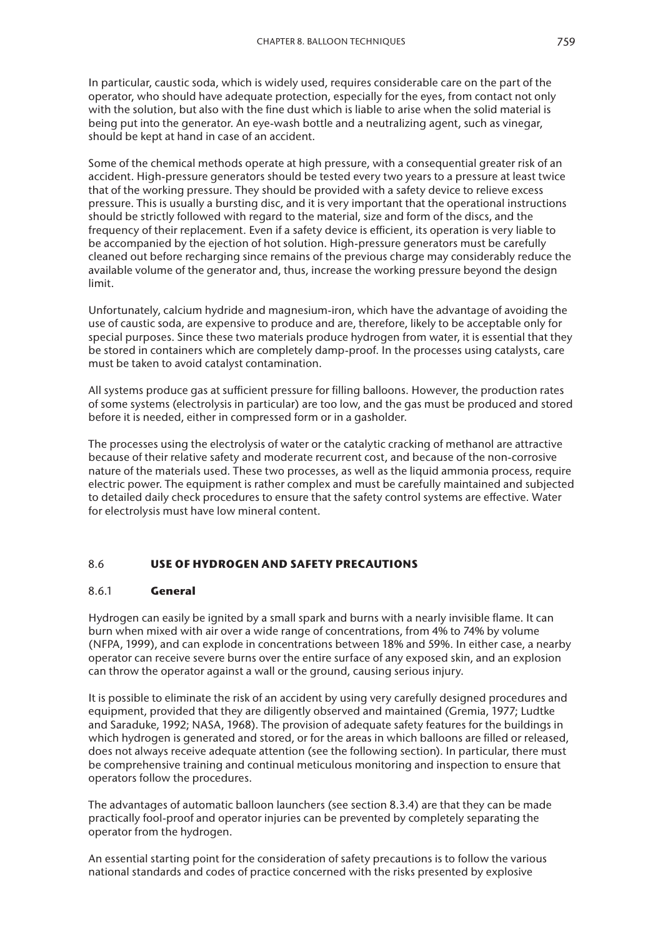In particular, caustic soda, which is widely used, requires considerable care on the part of the operator, who should have adequate protection, especially for the eyes, from contact not only with the solution, but also with the fine dust which is liable to arise when the solid material is being put into the generator. An eye-wash bottle and a neutralizing agent, such as vinegar, should be kept at hand in case of an accident.

Some of the chemical methods operate at high pressure, with a consequential greater risk of an accident. High-pressure generators should be tested every two years to a pressure at least twice that of the working pressure. They should be provided with a safety device to relieve excess pressure. This is usually a bursting disc, and it is very important that the operational instructions should be strictly followed with regard to the material, size and form of the discs, and the frequency of their replacement. Even if a safety device is efficient, its operation is very liable to be accompanied by the ejection of hot solution. High-pressure generators must be carefully cleaned out before recharging since remains of the previous charge may considerably reduce the available volume of the generator and, thus, increase the working pressure beyond the design limit.

Unfortunately, calcium hydride and magnesium-iron, which have the advantage of avoiding the use of caustic soda, are expensive to produce and are, therefore, likely to be acceptable only for special purposes. Since these two materials produce hydrogen from water, it is essential that they be stored in containers which are completely damp-proof. In the processes using catalysts, care must be taken to avoid catalyst contamination.

All systems produce gas at sufficient pressure for filling balloons. However, the production rates of some systems (electrolysis in particular) are too low, and the gas must be produced and stored before it is needed, either in compressed form or in a gasholder.

The processes using the electrolysis of water or the catalytic cracking of methanol are attractive because of their relative safety and moderate recurrent cost, and because of the non-corrosive nature of the materials used. These two processes, as well as the liquid ammonia process, require electric power. The equipment is rather complex and must be carefully maintained and subjected to detailed daily check procedures to ensure that the safety control systems are effective. Water for electrolysis must have low mineral content.

### 8.6 **USE OF HYDROGEN AND SAFETY PRECAUTIONS**

#### 8.6.1 **General**

Hydrogen can easily be ignited by a small spark and burns with a nearly invisible flame. It can burn when mixed with air over a wide range of concentrations, from 4% to 74% by volume (NFPA, 1999), and can explode in concentrations between 18% and 59%. In either case, a nearby operator can receive severe burns over the entire surface of any exposed skin, and an explosion can throw the operator against a wall or the ground, causing serious injury.

It is possible to eliminate the risk of an accident by using very carefully designed procedures and equipment, provided that they are diligently observed and maintained (Gremia, 1977; Ludtke and Saraduke, 1992; NASA, 1968). The provision of adequate safety features for the buildings in which hydrogen is generated and stored, or for the areas in which balloons are filled or released, does not always receive adequate attention (see the following section). In particular, there must be comprehensive training and continual meticulous monitoring and inspection to ensure that operators follow the procedures.

The advantages of automatic balloon launchers (see section 8.3.4) are that they can be made practically fool-proof and operator injuries can be prevented by completely separating the operator from the hydrogen.

An essential starting point for the consideration of safety precautions is to follow the various national standards and codes of practice concerned with the risks presented by explosive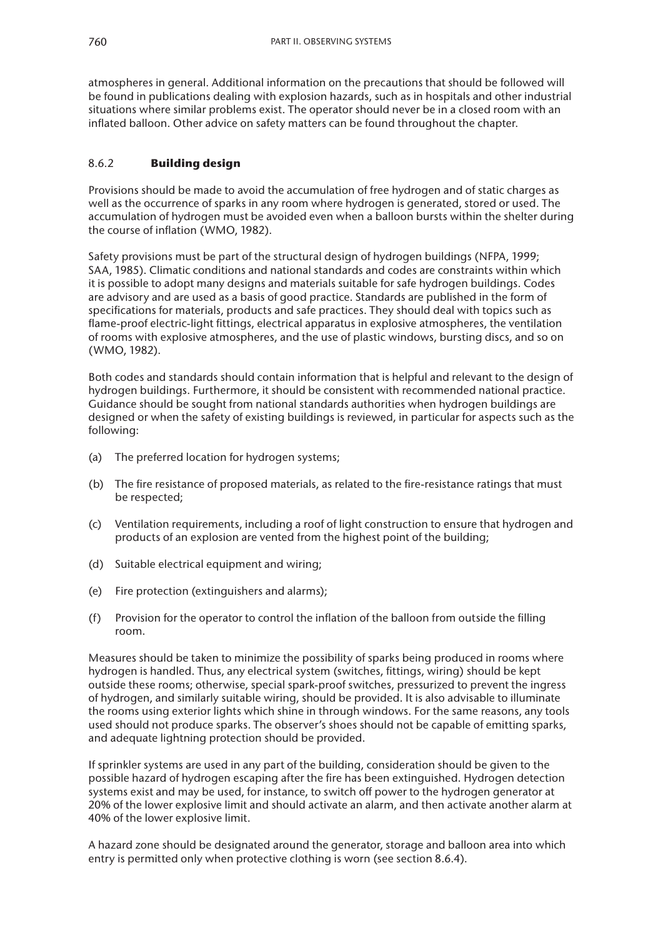atmospheres in general. Additional information on the precautions that should be followed will be found in publications dealing with explosion hazards, such as in hospitals and other industrial situations where similar problems exist. The operator should never be in a closed room with an inflated balloon. Other advice on safety matters can be found throughout the chapter.

## 8.6.2 **Building design**

Provisions should be made to avoid the accumulation of free hydrogen and of static charges as well as the occurrence of sparks in any room where hydrogen is generated, stored or used. The accumulation of hydrogen must be avoided even when a balloon bursts within the shelter during the course of inflation (WMO, 1982).

Safety provisions must be part of the structural design of hydrogen buildings (NFPA, 1999; SAA, 1985). Climatic conditions and national standards and codes are constraints within which it is possible to adopt many designs and materials suitable for safe hydrogen buildings. Codes are advisory and are used as a basis of good practice. Standards are published in the form of specifications for materials, products and safe practices. They should deal with topics such as flame-proof electric-light fittings, electrical apparatus in explosive atmospheres, the ventilation of rooms with explosive atmospheres, and the use of plastic windows, bursting discs, and so on (WMO, 1982).

Both codes and standards should contain information that is helpful and relevant to the design of hydrogen buildings. Furthermore, it should be consistent with recommended national practice. Guidance should be sought from national standards authorities when hydrogen buildings are designed or when the safety of existing buildings is reviewed, in particular for aspects such as the following:

- (a) The preferred location for hydrogen systems;
- (b) The fire resistance of proposed materials, as related to the fire-resistance ratings that must be respected;
- (c) Ventilation requirements, including a roof of light construction to ensure that hydrogen and products of an explosion are vented from the highest point of the building;
- (d) Suitable electrical equipment and wiring;
- (e) Fire protection (extinguishers and alarms);
- (f) Provision for the operator to control the inflation of the balloon from outside the filling room.

Measures should be taken to minimize the possibility of sparks being produced in rooms where hydrogen is handled. Thus, any electrical system (switches, fittings, wiring) should be kept outside these rooms; otherwise, special spark-proof switches, pressurized to prevent the ingress of hydrogen, and similarly suitable wiring, should be provided. It is also advisable to illuminate the rooms using exterior lights which shine in through windows. For the same reasons, any tools used should not produce sparks. The observer's shoes should not be capable of emitting sparks, and adequate lightning protection should be provided.

If sprinkler systems are used in any part of the building, consideration should be given to the possible hazard of hydrogen escaping after the fire has been extinguished. Hydrogen detection systems exist and may be used, for instance, to switch off power to the hydrogen generator at 20% of the lower explosive limit and should activate an alarm, and then activate another alarm at 40% of the lower explosive limit.

A hazard zone should be designated around the generator, storage and balloon area into which entry is permitted only when protective clothing is worn (see section 8.6.4).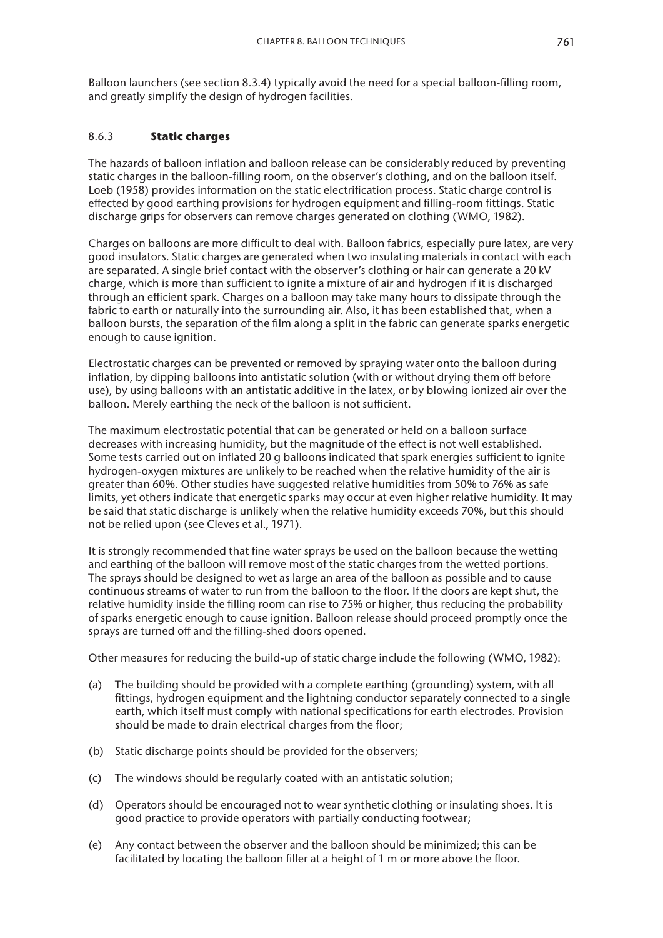Balloon launchers (see section 8.3.4) typically avoid the need for a special balloon-filling room, and greatly simplify the design of hydrogen facilities.

### 8.6.3 **Static charges**

The hazards of balloon inflation and balloon release can be considerably reduced by preventing static charges in the balloon-filling room, on the observer's clothing, and on the balloon itself. Loeb (1958) provides information on the static electrification process. Static charge control is effected by good earthing provisions for hydrogen equipment and filling-room fittings. Static discharge grips for observers can remove charges generated on clothing (WMO, 1982).

Charges on balloons are more difficult to deal with. Balloon fabrics, especially pure latex, are very good insulators. Static charges are generated when two insulating materials in contact with each are separated. A single brief contact with the observer's clothing or hair can generate a 20 kV charge, which is more than sufficient to ignite a mixture of air and hydrogen if it is discharged through an efficient spark. Charges on a balloon may take many hours to dissipate through the fabric to earth or naturally into the surrounding air. Also, it has been established that, when a balloon bursts, the separation of the film along a split in the fabric can generate sparks energetic enough to cause ignition.

Electrostatic charges can be prevented or removed by spraying water onto the balloon during inflation, by dipping balloons into antistatic solution (with or without drying them off before use), by using balloons with an antistatic additive in the latex, or by blowing ionized air over the balloon. Merely earthing the neck of the balloon is not sufficient.

The maximum electrostatic potential that can be generated or held on a balloon surface decreases with increasing humidity, but the magnitude of the effect is not well established. Some tests carried out on inflated 20 g balloons indicated that spark energies sufficient to ignite hydrogen-oxygen mixtures are unlikely to be reached when the relative humidity of the air is greater than 60%. Other studies have suggested relative humidities from 50% to 76% as safe limits, yet others indicate that energetic sparks may occur at even higher relative humidity. It may be said that static discharge is unlikely when the relative humidity exceeds 70%, but this should not be relied upon (see Cleves et al., 1971).

It is strongly recommended that fine water sprays be used on the balloon because the wetting and earthing of the balloon will remove most of the static charges from the wetted portions. The sprays should be designed to wet as large an area of the balloon as possible and to cause continuous streams of water to run from the balloon to the floor. If the doors are kept shut, the relative humidity inside the filling room can rise to 75% or higher, thus reducing the probability of sparks energetic enough to cause ignition. Balloon release should proceed promptly once the sprays are turned off and the filling-shed doors opened.

Other measures for reducing the build-up of static charge include the following (WMO, 1982):

- (a) The building should be provided with a complete earthing (grounding) system, with all fittings, hydrogen equipment and the lightning conductor separately connected to a single earth, which itself must comply with national specifications for earth electrodes. Provision should be made to drain electrical charges from the floor;
- (b) Static discharge points should be provided for the observers;
- (c) The windows should be regularly coated with an antistatic solution;
- (d) Operators should be encouraged not to wear synthetic clothing or insulating shoes. It is good practice to provide operators with partially conducting footwear;
- (e) Any contact between the observer and the balloon should be minimized; this can be facilitated by locating the balloon filler at a height of 1 m or more above the floor.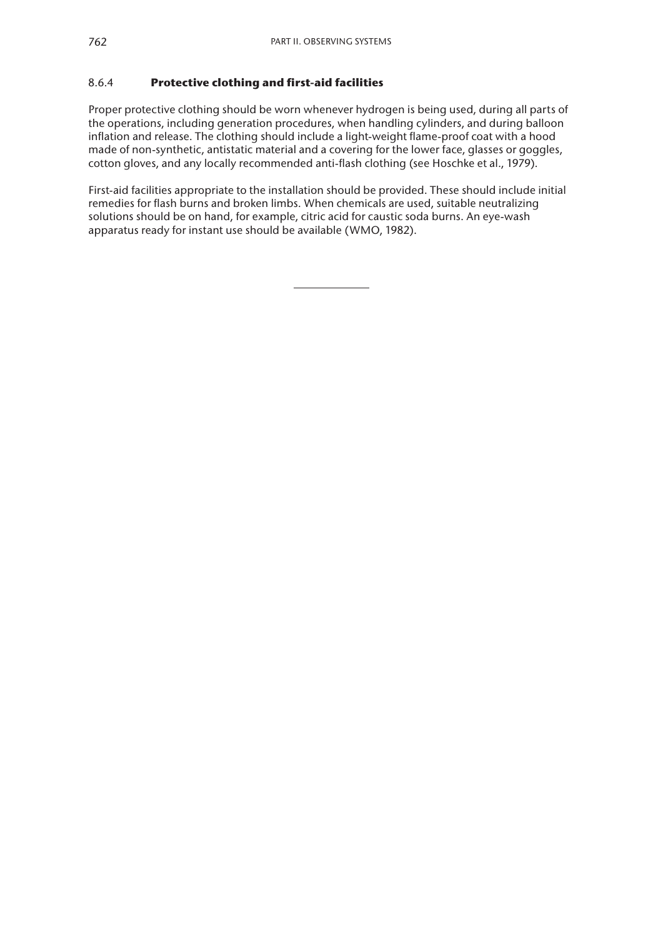## 8.6.4 **Protective clothing and first-aid facilities**

Proper protective clothing should be worn whenever hydrogen is being used, during all parts of the operations, including generation procedures, when handling cylinders, and during balloon inflation and release. The clothing should include a light-weight flame-proof coat with a hood made of non-synthetic, antistatic material and a covering for the lower face, glasses or goggles, cotton gloves, and any locally recommended anti-flash clothing (see Hoschke et al., 1979).

First-aid facilities appropriate to the installation should be provided. These should include initial remedies for flash burns and broken limbs. When chemicals are used, suitable neutralizing solutions should be on hand, for example, citric acid for caustic soda burns. An eye-wash apparatus ready for instant use should be available (WMO, 1982).